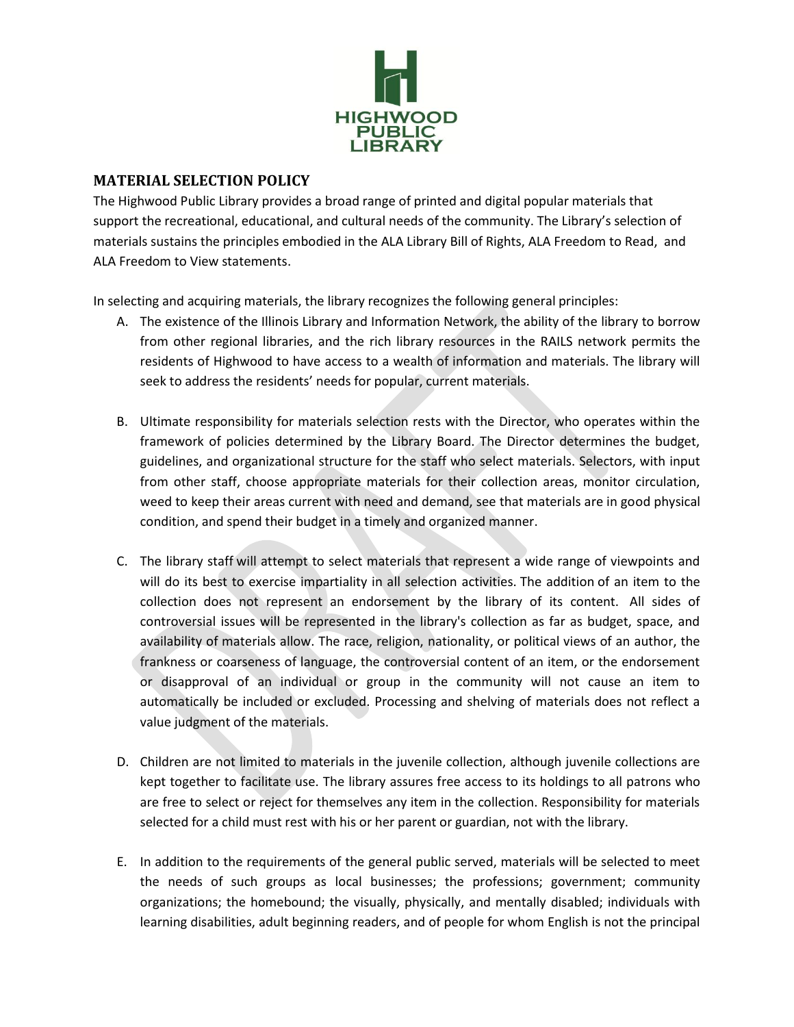

## **MATERIAL SELECTION POLICY**

The Highwood Public Library provides a broad range of printed and digital popular materials that support the recreational, educational, and cultural needs of the community. The Library's selection of materials sustains the principles embodied in the ALA Library Bill of Rights, ALA Freedom to Read, and ALA Freedom to View statements.

In selecting and acquiring materials, the library recognizes the following general principles:

- A. The existence of the Illinois Library and Information Network, the ability of the library to borrow from other regional libraries, and the rich library resources in the RAILS network permits the residents of Highwood to have access to a wealth of information and materials. The library will seek to address the residents' needs for popular, current materials.
- B. Ultimate responsibility for materials selection rests with the Director, who operates within the framework of policies determined by the Library Board. The Director determines the budget, guidelines, and organizational structure for the staff who select materials. Selectors, with input from other staff, choose appropriate materials for their collection areas, monitor circulation, weed to keep their areas current with need and demand, see that materials are in good physical condition, and spend their budget in a timely and organized manner.
- C. The library staff will attempt to select materials that represent a wide range of viewpoints and will do its best to exercise impartiality in all selection activities. The addition of an item to the collection does not represent an endorsement by the library of its content. All sides of controversial issues will be represented in the library's collection as far as budget, space, and availability of materials allow. The race, religion, nationality, or political views of an author, the frankness or coarseness of language, the controversial content of an item, or the endorsement or disapproval of an individual or group in the community will not cause an item to automatically be included or excluded. Processing and shelving of materials does not reflect a value judgment of the materials.
- D. Children are not limited to materials in the juvenile collection, although juvenile collections are kept together to facilitate use. The library assures free access to its holdings to all patrons who are free to select or reject for themselves any item in the collection. Responsibility for materials selected for a child must rest with his or her parent or guardian, not with the library.
- E. In addition to the requirements of the general public served, materials will be selected to meet the needs of such groups as local businesses; the professions; government; community organizations; the homebound; the visually, physically, and mentally disabled; individuals with learning disabilities, adult beginning readers, and of people for whom English is not the principal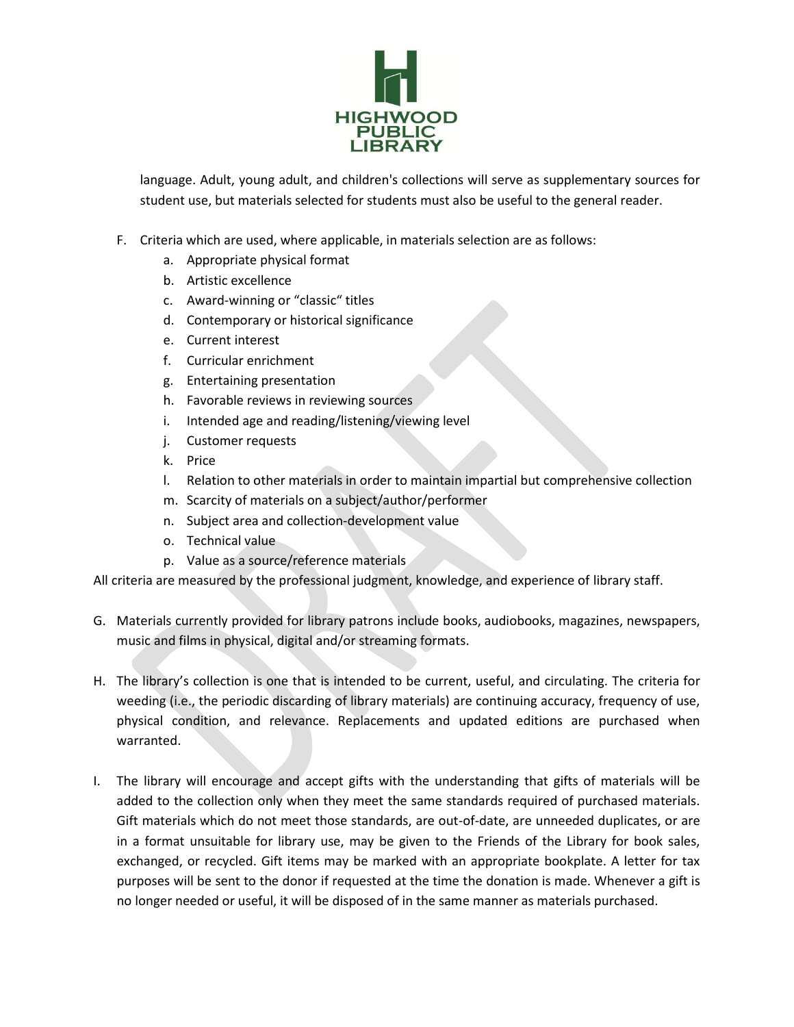

language. Adult, young adult, and children's collections will serve as supplementary sources for student use, but materials selected for students must also be useful to the general reader.

- F. Criteria which are used, where applicable, in materials selection are as follows:
	- a. Appropriate physical format
	- b. Artistic excellence
	- c. Award-winning or "classic" titles
	- d. Contemporary or historical significance
	- e. Current interest
	- f. Curricular enrichment
	- g. Entertaining presentation
	- h. Favorable reviews in reviewing sources
	- i. Intended age and reading/listening/viewing level
	- j. Customer requests
	- k. Price
	- l. Relation to other materials in order to maintain impartial but comprehensive collection
	- m. Scarcity of materials on a subject/author/performer
	- n. Subject area and collection-development value
	- o. Technical value
	- p. Value as a source/reference materials

All criteria are measured by the professional judgment, knowledge, and experience of library staff.

- G. Materials currently provided for library patrons include books, audiobooks, magazines, newspapers, music and films in physical, digital and/or streaming formats.
- H. The library's collection is one that is intended to be current, useful, and circulating. The criteria for weeding (i.e., the periodic discarding of library materials) are continuing accuracy, frequency of use, physical condition, and relevance. Replacements and updated editions are purchased when warranted.
- I. The library will encourage and accept gifts with the understanding that gifts of materials will be added to the collection only when they meet the same standards required of purchased materials. Gift materials which do not meet those standards, are out-of-date, are unneeded duplicates, or are in a format unsuitable for library use, may be given to the Friends of the Library for book sales, exchanged, or recycled. Gift items may be marked with an appropriate bookplate. A letter for tax purposes will be sent to the donor if requested at the time the donation is made. Whenever a gift is no longer needed or useful, it will be disposed of in the same manner as materials purchased.